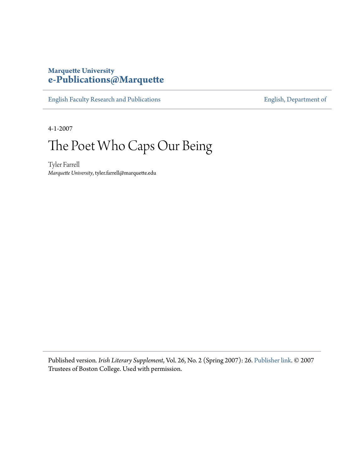### **Marquette University [e-Publications@Marquette](https://epublications.marquette.edu)**

[English Faculty Research and Publications](https://epublications.marquette.edu/english_fac) **[English, Department of](https://epublications.marquette.edu/english)** 

4-1-2007

# The Poet Who Caps Our Being

Tyler Farrell *Marquette University*, tyler.farrell@marquette.edu

Published version*. Irish Literary Supplement*, Vol. 26, No. 2 (Spring 2007): 26. [Publisher link.](https://www.bc.edu/bc-web/centers/center-for-irish-programs.html) © 2007 Trustees of Boston College. Used with permission.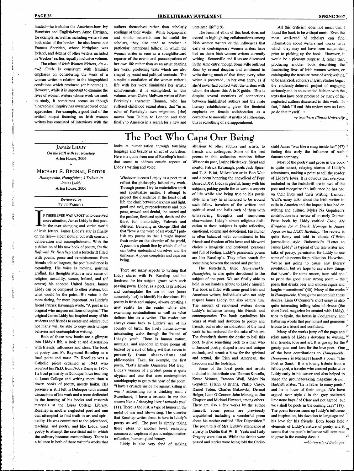lauded—he includes the American-bom Ivy Bannister and English-bom Anne Hartigan, for example, as well as including writers from both sides of the border—he also leaves out Frances Sheridan, whose birthplace was Ireland, and dozens of other writers included in Weekes' earlier, equally inclusive volume.

The ethos *of Irish Women Writers, An Ato-Z Guide* is consistent with feminist emphases on considering the work of a woman writer in relation to the biographical conditions which produced (or hindered) it. However, while it is important to examine the lives of women writers whose work we seek to study, it sometimes seems as though biographical inquiry has overshadowed other approaches. For example, a good deal of the critical output focusing on Irish women writers has consisted of interviews with the

**PAGE 26 IRISH LITERARY SUPPLEMENT SPRING 2007** 

readings of their works. While biographical and similar materials can be useful for scholars, they also tend to produce a particular intentional fallacy, in which the woman writer is seen as a straightforward reporter of the events and preoccupations of her own life rather than as an artist shaping her work, producing texts which are also shaped by social and political contexts. The simplistic conflation of the woman writer's . life with her work diminishes her artistic achievements; it is exemplified, in this volume, when Claire McEwen writes of Sara Berkeley's character Hannah, who has suffered childhood sexual abuse, that "in an echo of Berkeley's own migration, [she] moves from Dublin to London and then

untainted life" (19),

The feminist ethos of this book does not extend to highlighting collaborations among Irish women writers or the influences that early or contemporary women writers have had on those Irish women writers currently writing, Somerville and Ross are discussed in the same entry, though Somerville outlived Ross by several decades and continued to write during much of that time; every other writer is presented, in her own entry, as if she'd never had contact with the writers with whom she shares this A-to-Z guide. This is despite several mentions of connections between highlighted authors and the male literary establishment; given the feminist emphasis on female collaboration as a corrective to masculinist myths of authorship,

All this criticism does not mean that I found the book to be without merit. Even the most well-read of scholars can find information about writers and works with which they may not have been acquainted prior to picking up the book. However, it would be a pleasant surprise if, rather than producing another book describing the fascinating lives of Irish women writers, or cataloguing the treasure trove of work waiting ~ to be analyzed, scholars in Irish Studies began the endlessly-deferred project of engaging seriously and in an extended fashion with the . texts that have been produced by many of the , neglected authors discussed in this work. In  $\epsilon$ fact, I think I'll end this review now so I can go do that myself.  $\cdot$ 

— Southern Illinois University

**i**

### JAMES LIDDY *On the Raft with Fr. Roseliep* Arlen House, 2006

•

MICHAEL S. BEGNAL, EDITOR *Honeysuckle, Honeyjuice: A Tribute to James Liddy* Arlen House, 2006

#### Reviewed by TYLER FARRELL

F THERE EVER WAS A POET who deserved<br>more attention, James Liddy is that poet.<br>In the ever changing and varied world<br>of Irish letters, James Liddy's star is finally F THERE EVER WAS A POET who deserved more attention, James Liddy is that poet. In the ever changing and varied world on the rise— albeit slowly, but with constant deliberation and accomplishment. With the publication of his new book of poetry. *On the Raft with Fr. Roseliep* and a festschrift filled with poems, prose and reminiscences from friends an'd colleagues, the poet's audience is expanding. His voice is moving, gaining grottnd. His thoughts attain a new sense of religion, sexuality, humor, Ireland, and (of course) his adopted United States. James Liddy can be compared to other writers, but what would be the point. His voice is far more daring, far more important. As Liddy's friend Patrick Kavanagh wrote, "A poet is an original who inspires millions of copies," The original James Liddy has inspired many of his students and friends to create and admire, but not many will be able to copy such unique behavior and contemplative writing.

Both of these new books are a glimpse into Liddy's life, a look at and discussion with friends, influences and ideas. The book of poetry uses Fr, Raymond Roseliep as a focal point and muse, Fr. Roseliep was a Catholic priest ordained in 1943 who received his Ph.D. from Notre Dame in 1954. He lived primarily in Dubuque, Iowa teaching at Loras College and writing more than a dozen books of poetry, mostly haiku. His presence is still felt in Dubuque with annual discussions of his work and a room dedicated to the housing of his books and research materials at the Loras College Library, Roseliep is another neglected poet and one that attempted to find truth in art and spirituality. He was committed to the priesthood, teaching, and poetry, and like Liddy, used poetry to attempt the sacrificial act in which the ordinary becomes extraordinary. There is a balance in both of these writer's works that

> $\sim$   $\sim 10^6$

# The Poet Who Caps Our

looks at humanization through touching language and beauty as an act of contrition. Here is a quote from one of Roseliep's books that seems to address certain aspects of Liddy's writing and voice:

finally to America in a search for a new and

authors themselves rather than scholarly

Whatever success I enjoy as a poet must reflect the philosophy behind my work. Through poems I try to materialize spirit and spiritualize matter. I attempt to project the dissidence at the heart of all life: the clash between darkness and light, good and evil, purposelessness and purpose, avowal and denial, the sacred and the profane, flesh and spirit, death and the thirst for immortality, Yahweh and oblivion. Believing as George Eliot did that "love is the word of all work," I publish my poems so that I might impose fresh order on the disorder of the world. A poem is a plumb line by which all of us can better understand ourselves and the universe. A poem completes and caps our being.

There are many aspects to writing that Liddy shares with Fr. Roseliep and his fondness for his subject grows with each passing poem. Liddy, as a poet, is priest-like and contemplates the use of love (more accurately lust) to identify his devotions. His poetry is fresh and unique, always creating a new reality for the reader while also examining contradictions as well as what defines him as a writer. The reader can always come back to Liddy's use of his country of birth, the lively innuendo—an intoxicating waltz through the Ireland of Liddy's youth. There is human nature, nostalgia, and anecdote in these poems all backed by a sort of biting wit that serves to personify these observations and philosophies. Take, for example, the first poem, "Let's Invade Ourselves Not Iraq." Liddy's version of a protest poem is quite atypical and one that uses contemplative autobiography to get to the heart of the poem. "I have a crusade inside me against killing in war / astonishing for a drinking man; / Sweetheart, I have a crusade in me that steams like a / decaying liver / towards you" (11), There is the lust, a type of humor in the midst of war and life-writing. The disorder that Roseliep writes about is here in Liddy's poetry as well. The poet is simply taking these' ideas to another level, reshaping common conceptions of poetic subject matter, reflection, humanity and beauty.

Liddy is also very fond of making

allusions to other authors and artists, to friends and colleagues. Some of the best poems in this collection mention fellow Wisconsin poet, Lorine Niedecker, friend and mentor Patrick Kavanagh, poets Jack Spicer and T. S. Eliot, Milwaukee artist Bob Watt and a poem honoring the encyclical of Pope Benedict XV. Liddy is gleeful, funny with his subjects, poking gentle fun at various aspects of life while also being true to his poetic style. In a way he is honored to be around such fellow travelers of the written and spiritual word and hails each of them with unwavering thoughts and humorous observations, Liddy's almost religious dedication to these subjects is quite reflective, emotional, solemn and devotional. His humor is often balanced with commitment to his friends and freedom of his loves and his word choice is imagistic and profound, personal and full of feeling, Liddy's passionate poems are like Roseliep's. They often search for something between the sacred and profane.

this is something of a disappointment.

The festschrift, titled *Honeysuckle, Honeyjuice,* is also quite devotional to the subject of the poet. We are finally able to hold in our hands a tribute to Liddy himself. The book is filled with some great Irish and American writers, individuals who not only respect James Liddy, but also admire him. The amount of renowned writers shows Liddy's influence among his friends and contemporaries. The book symbolizes his years of work and devotion to poetry and friends, but is also an indication of the hard work he has endured for the sake of his art. The festschrift shows the desire to hail this poet, to give something back to a man who influenced poetry, shaped a new and unique outlook, and struck a blow for the spiritual and sexual, the Irish and American, the freedoms and the footsteps.

Some of the loyal poets and artists included in this tribute are: Thomas Kinsella, Knute Skinner, Eamonn Wall, Myles Na Gopaleen (Flann O'Brien), Philip Casey, Daniel Tobin, Charles Bukowski, Dermot Bolger, Liam O'Connor, John Montague, Jim Chapson and Michael Hartnett, among others. There are also a few works by the author himself. Some poems are previously unpublished including a wonderful poem about his mother entitled "Her Disposition," The poem tells of Mrs. Liddy's attendance at a party in Dublin that W. B, Yeats and Lady Gregory were also at. While the drinks were passed and stories were being told the Christchild James "was like a snug inside her" (47) feeling this early the influence of such famous company.

Most of the poetry and prose in the book is quite honest, relaying stories of Liddy's adventures, making a point to tell the reader of Liddy's loves. It is obvious that everyone included in the festschrift are in awe of the poet and recognize the influence he has had on their lives and their writing, Eamonn Wall's essay talks about the Irish writer in exile in America and the impact it has had on writing and culture, Myles Na Gopaleen's contribution is a review of an early Dolmen Press book by Liddy entitled *Esau, My Kingdom for a Drink: Homage to James Joyce on his LXXX Birthday.* The review is quite funny and told in classic O'Brien journalistic style. Bukowski's "Letter to James Liddy" is typical of the late writer and talks of poetry, permission for Liddy to use some of his poems for publication. He writes, "we're not going to cause any literary revolution, but we hope to say a few things that haven't, for some reason, been said and to print the good clear strong poem - the poem that drinks beer and smokes cigars and laughs - sometimes" (46). Many of the works in *Honeysuckle, Honeyjuice* accomplish these desires, Liam O'Connor's short essay is also quite interesting telling tales of *Arena* (the ' quite interesting tennig tales of *Arena* (the  $t_1$  to  $t_2$  in  $t_3$  in  $t_4$  in  $t_5$  in  $t_6$  in  $t_7$  in  $t_8$ trips to Spain, the house in Coolgreany, and flattering words that pay honest and generous '<br>tribute to a friend and confidant.

Many of the works jump off the page and <sup>16</sup> relay much of Liddy's devotion to writing,  $W^i$ life, friends, love and art. It is gossip for the  $i<sup>L</sup>$ gossip poet and love for the love poet. One of the best contributions to *Honeysuckle, Honeyjuice* is Michael Hamett's poem "The Poet as Saint." It is a loving tribute from a fellow poet, a traveler who crossed paths with Liddy early in his career and also helped to shape the groundbreaking magazine *Arena.* Hartnett writes, "He is father to many poets / and he is lover of their songs...We have argued over style / in the grey sheltered limestone bays / of Clare and not agreed: but we / shall be poets in the coming days" (19), The poem forever sums up Liddy's influence and inspiration, his devotion to language and his love for his friends. Both books hold  $\wedge$ elements of Liddy's nature of poetry and it  $\sqrt{1}$ seems that the poet's influence will continue to grow in the coming days, •

—*University of Dubuque*